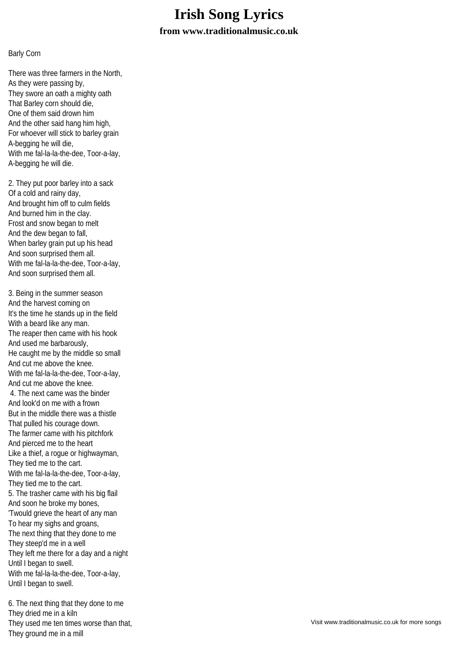## **Irish Song Lyrics from www.traditionalmusic.co.uk**

## Barly Corn

There was three farmers in the North, As they were passing by, They swore an oath a mighty oath That Barley corn should die, One of them said drown him And the other said hang him high, For whoever will stick to barley grain A-begging he will die, With me fal-la-la-the-dee, Toor-a-lay, A-begging he will die.

2. They put poor barley into a sack Of a cold and rainy day, And brought him off to culm fields And burned him in the clay. Frost and snow began to melt And the dew began to fall, When barley grain put up his head And soon surprised them all. With me fal-la-la-the-dee, Toor-a-lay, And soon surprised them all.

3. Being in the summer season And the harvest coming on It's the time he stands up in the field With a beard like any man. The reaper then came with his hook And used me barbarously, He caught me by the middle so small And cut me above the knee. With me fal-la-la-the-dee, Toor-a-lay, And cut me above the knee. 4. The next came was the binder And look'd on me with a frown But in the middle there was a thistle That pulled his courage down. The farmer came with his pitchfork And pierced me to the heart Like a thief, a rogue or highwayman, They tied me to the cart. With me fal-la-la-the-dee, Toor-a-lay, They tied me to the cart. 5. The trasher came with his big flail And soon he broke my bones, 'Twould grieve the heart of any man To hear my sighs and groans, The next thing that they done to me They steep'd me in a well They left me there for a day and a night Until I began to swell. With me fal-la-la-the-dee, Toor-a-lay, Until I began to swell.

6. The next thing that they done to me They dried me in a kiln They used me ten times worse than that, They ground me in a mill